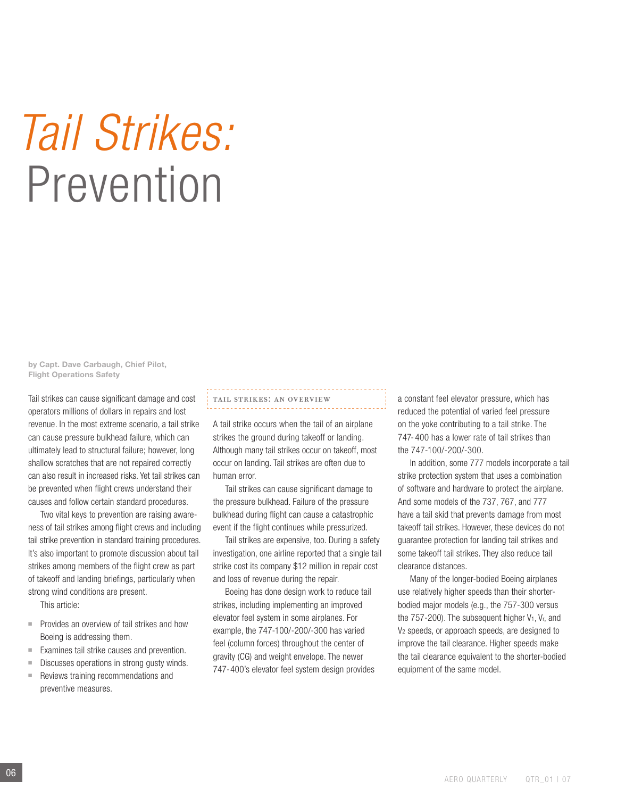# *Tail Strikes:* Prevention

by Capt. Dave Carbaugh, Chief Pilot, Flight Operations Safety

Tail strikes can cause significant damage and cost operators millions of dollars in repairs and lost revenue. In the most extreme scenario, a tail strike can cause pressure bulkhead failure, which can ultimately lead to structural failure; however, long shallow scratches that are not repaired correctly can also result in increased risks. Yet tail strikes can be prevented when flight crews understand their causes and follow certain standard procedures.

Two vital keys to prevention are raising awareness of tail strikes among flight crews and including tail strike prevention in standard training procedures. It's also important to promote discussion about tail strikes among members of the flight crew as part of takeoff and landing briefings, particularly when strong wind conditions are present.

This article:

- Provides an overview of tail strikes and how Boeing is addressing them.
- Examines tail strike causes and prevention.
- Discusses operations in strong gusty winds.
- Reviews training recommendations and preventive measures.

#### tail strikes: an overview

A tail strike occurs when the tail of an airplane strikes the ground during takeoff or landing. Although many tail strikes occur on takeoff, most occur on landing. Tail strikes are often due to human error.

Tail strikes can cause significant damage to the pressure bulkhead. Failure of the pressure bulkhead during flight can cause a catastrophic event if the flight continues while pressurized.

Tail strikes are expensive, too. During a safety investigation, one airline reported that a single tail strike cost its company \$12 million in repair cost and loss of revenue during the repair.

Boeing has done design work to reduce tail strikes, including implementing an improved elevator feel system in some airplanes. For example, the 747-100/-200/-300 has varied feel (column forces) throughout the center of gravity (CG) and weight envelope. The newer 747-400's elevator feel system design provides a constant feel elevator pressure, which has reduced the potential of varied feel pressure on the yoke contributing to a tail strike. The 747- 400 has a lower rate of tail strikes than the 747-100/-200/-300.

In addition, some 777 models incorporate a tail strike protection system that uses a combination of software and hardware to protect the airplane. And some models of the 737, 767, and 777 have a tail skid that prevents damage from most takeoff tail strikes. However, these devices do not guarantee protection for landing tail strikes and some takeoff tail strikes. They also reduce tail clearance distances.

Many of the longer-bodied Boeing airplanes use relatively higher speeds than their shorterbodied major models (e.g., the 757-300 versus the  $757-200$ ). The subsequent higher  $V_1$ ,  $V_r$ , and V2 speeds, or approach speeds, are designed to improve the tail clearance. Higher speeds make the tail clearance equivalent to the shorter-bodied equipment of the same model.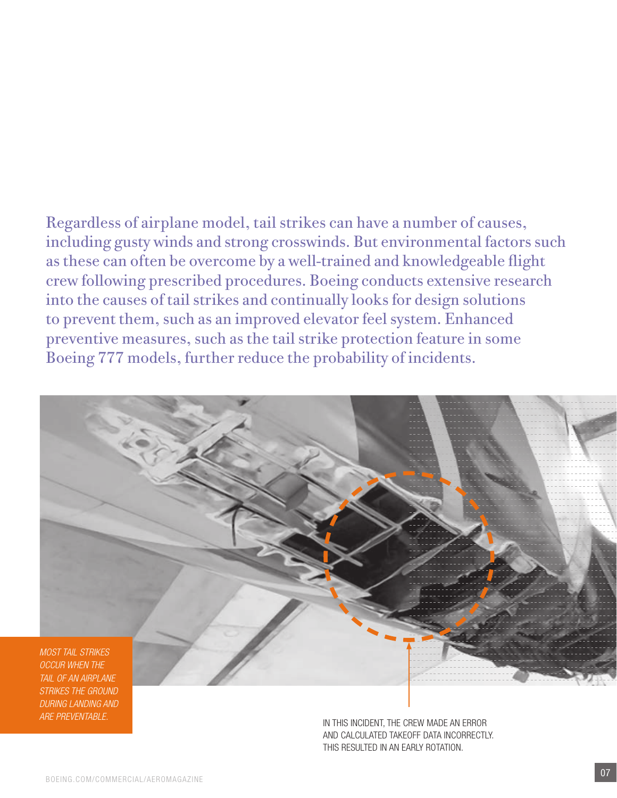Regardless of airplane model, tail strikes can have a number of causes, including gusty winds and strong crosswinds. But environmental factors such as these can often be overcome by a well-trained and knowledgeable flight crew following prescribed procedures. Boeing conducts extensive research into the causes of tail strikes and continually looks for design solutions to prevent them, such as an improved elevator feel system. Enhanced preventive measures, such as the tail strike protection feature in some Boeing 777 models, further reduce the probability of incidents.



*strikes the ground during landing and are preventable.* 

In this incident, the crew made an error and calculated takeoff data incorrectly. this resulted in an early rotation.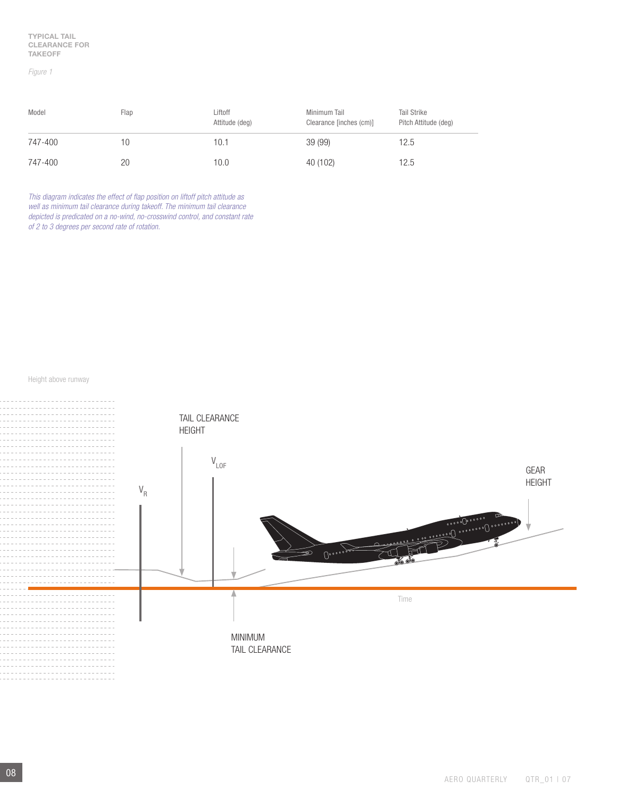#### *Figure 1*

| Model   | Flap | Liftoff<br>Attitude (deg) | Minimum Tail<br>Clearance [inches (cm)] | <b>Tail Strike</b><br>Pitch Attitude (deg) |
|---------|------|---------------------------|-----------------------------------------|--------------------------------------------|
| 747-400 | 10   | 10.1                      | 39 (99)                                 | 12.5                                       |
| 747-400 | 20   | 10.0                      | 40 (102)                                | 12.5                                       |

*This diagram indicates the effect of flap position on liftoff pitch attitude as well as minimum tail clearance during takeoff. The minimum tail clearance depicted is predicated on a no-wind, no-crosswind control, and constant rate of 2 to 3 degrees per second rate of rotation.*

Height above runway

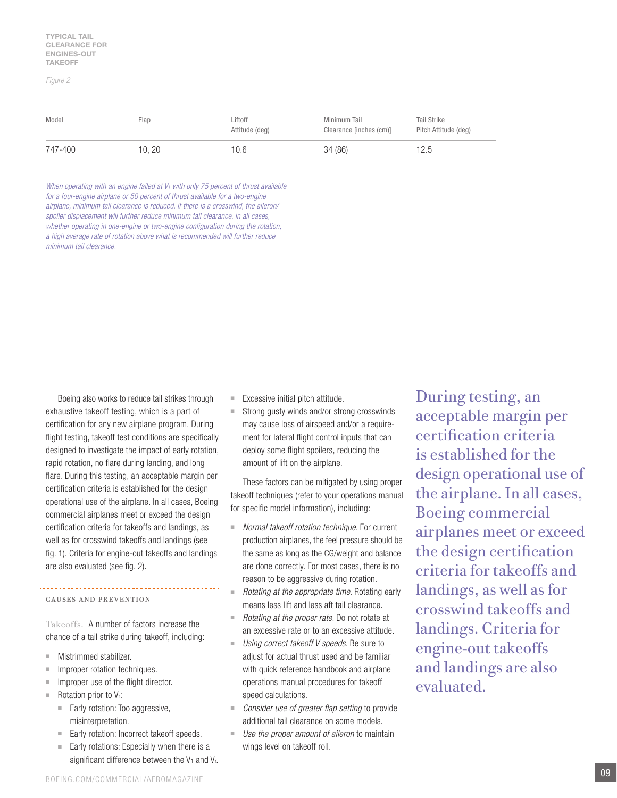#### *Figure 2*

| Model   | Flap  | Liftoff<br>Attitude (deg) | Minimum Tail<br>Clearance [inches (cm)] | <b>Tail Strike</b><br>Pitch Attitude (deg) |
|---------|-------|---------------------------|-----------------------------------------|--------------------------------------------|
| 747-400 | 10.20 | 10.6                      | 34 (86)                                 | 12.5                                       |

*When operating with an engine failed at V1 with only 75 percent of thrust available for a four-engine airplane or 50 percent of thrust available for a two-engine airplane, minimum tail clearance is reduced. If there is a crosswind, the aileron/ spoiler displacement will further reduce minimum tail clearance. In all cases, whether operating in one-engine or two-engine configuration during the rotation, a high average rate of rotation above what is recommended will further reduce minimum tail clearance.*

Boeing also works to reduce tail strikes through exhaustive takeoff testing, which is a part of certification for any new airplane program. During flight testing, takeoff test conditions are specifically designed to investigate the impact of early rotation, rapid rotation, no flare during landing, and long flare. During this testing, an acceptable margin per certification criteria is established for the design operational use of the airplane. In all cases, Boeing commercial airplanes meet or exceed the design certification criteria for takeoffs and landings, as well as for crosswind takeoffs and landings (see fig. 1). Criteria for engine-out takeoffs and landings are also evaluated (see fig. 2).

## causes and prevention

Takeoffs. A number of factors increase the chance of a tail strike during takeoff, including:

- Mistrimmed stabilizer.
- Improper rotation techniques.
- Improper use of the flight director.
- Rotation prior to V<sub>r</sub>:
	- Early rotation: Too aggressive, misinterpretation.
	- Early rotation: Incorrect takeoff speeds.
	- Early rotations: Especially when there is a significant difference between the  $V_1$  and  $V_r$ .
- Excessive initial pitch attitude.
- Strong gusty winds and/or strong crosswinds may cause loss of airspeed and/or a requirement for lateral flight control inputs that can deploy some flight spoilers, reducing the amount of lift on the airplane.

These factors can be mitigated by using proper takeoff techniques (refer to your operations manual for specific model information), including:

- *Normal takeoff rotation technique.* For current production airplanes, the feel pressure should be the same as long as the CG/weight and balance are done correctly. For most cases, there is no reason to be aggressive during rotation.
- *Rotating at the appropriate time.* Rotating early means less lift and less aft tail clearance.
- *Rotating at the proper rate.* Do not rotate at an excessive rate or to an excessive attitude.
- Using correct takeoff V speeds. Be sure to adjust for actual thrust used and be familiar with quick reference handbook and airplane operations manual procedures for takeoff speed calculations.
- *Consider use of greater flap setting* to provide additional tail clearance on some models.
- Use the proper amount of aileron to maintain wings level on takeoff roll.

During testing, an acceptable margin per certification criteria is established for the design operational use of the airplane. In all cases, Boeing commercial airplanes meet or exceed the design certification criteria for takeoffs and landings, as well as for crosswind takeoffs and landings. Criteria for engine-out takeoffs and landings are also evaluated.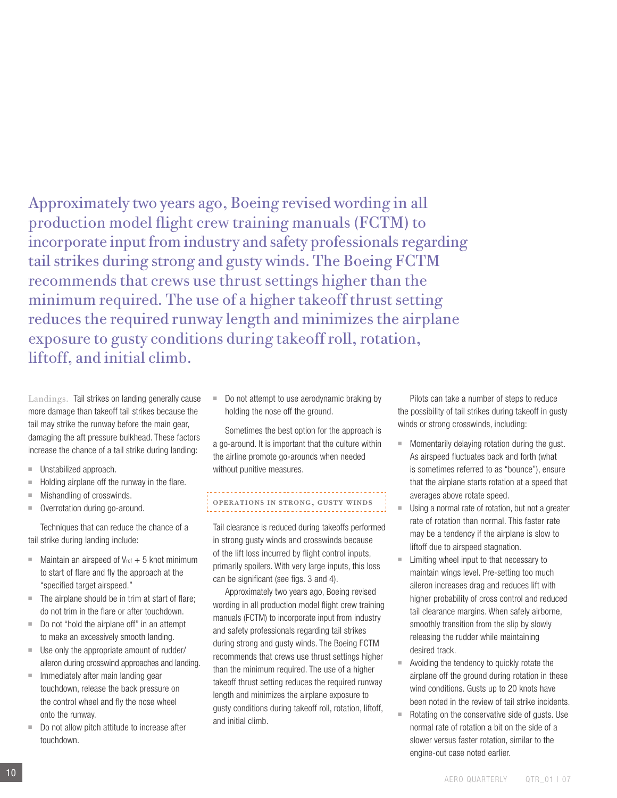Approximately two years ago, Boeing revised wording in all production model flight crew training manuals (FCTM) to incorporate input from industry and safety professionals regarding tail strikes during strong and gusty winds. The Boeing FCTM recommends that crews use thrust settings higher than the minimum required. The use of a higher takeoff thrust setting reduces the required runway length and minimizes the airplane exposure to gusty conditions during takeoff roll, rotation, liftoff, and initial climb.

Landings. Tail strikes on landing generally cause more damage than takeoff tail strikes because the tail may strike the runway before the main gear, damaging the aft pressure bulkhead. These factors increase the chance of a tail strike during landing:

- Unstabilized approach.
- Holding airplane off the runway in the flare.
- Mishandling of crosswinds.
- Overrotation during go-around.

Techniques that can reduce the chance of a tail strike during landing include:

- $\blacksquare$  Maintain an airspeed of V<sub>ref</sub>  $+$  5 knot minimum to start of flare and fly the approach at the "specified target airspeed."
- The airplane should be in trim at start of flare; do not trim in the flare or after touchdown.
- Do not "hold the airplane off" in an attempt to make an excessively smooth landing.
- Use only the appropriate amount of rudder/ aileron during crosswind approaches and landing.
- Immediately after main landing gear touchdown, release the back pressure on the control wheel and fly the nose wheel onto the runway.
- Do not allow pitch attitude to increase after touchdown.

Do not attempt to use aerodynamic braking by holding the nose off the ground.

Sometimes the best option for the approach is a go-around. It is important that the culture within the airline promote go-arounds when needed without punitive measures.

## Operations in strong, gusty winds

Tail clearance is reduced during takeoffs performed in strong gusty winds and crosswinds because of the lift loss incurred by flight control inputs, primarily spoilers. With very large inputs, this loss can be significant (see figs. 3 and 4).

Approximately two years ago, Boeing revised wording in all production model flight crew training manuals (FCTM) to incorporate input from industry and safety professionals regarding tail strikes during strong and gusty winds. The Boeing FCTM recommends that crews use thrust settings higher than the minimum required. The use of a higher takeoff thrust setting reduces the required runway length and minimizes the airplane exposure to gusty conditions during takeoff roll, rotation, liftoff, and initial climb.

Pilots can take a number of steps to reduce the possibility of tail strikes during takeoff in gusty winds or strong crosswinds, including:

- Momentarily delaying rotation during the gust. As airspeed fluctuates back and forth (what is sometimes referred to as "bounce"), ensure that the airplane starts rotation at a speed that averages above rotate speed.
- Using a normal rate of rotation, but not a greater rate of rotation than normal. This faster rate may be a tendency if the airplane is slow to liftoff due to airspeed stagnation.
- Limiting wheel input to that necessary to maintain wings level. Pre-setting too much aileron increases drag and reduces lift with higher probability of cross control and reduced tail clearance margins. When safely airborne, smoothly transition from the slip by slowly releasing the rudder while maintaining desired track.
- Avoiding the tendency to quickly rotate the airplane off the ground during rotation in these wind conditions. Gusts up to 20 knots have been noted in the review of tail strike incidents.
- Rotating on the conservative side of gusts. Use normal rate of rotation a bit on the side of a slower versus faster rotation, similar to the engine-out case noted earlier.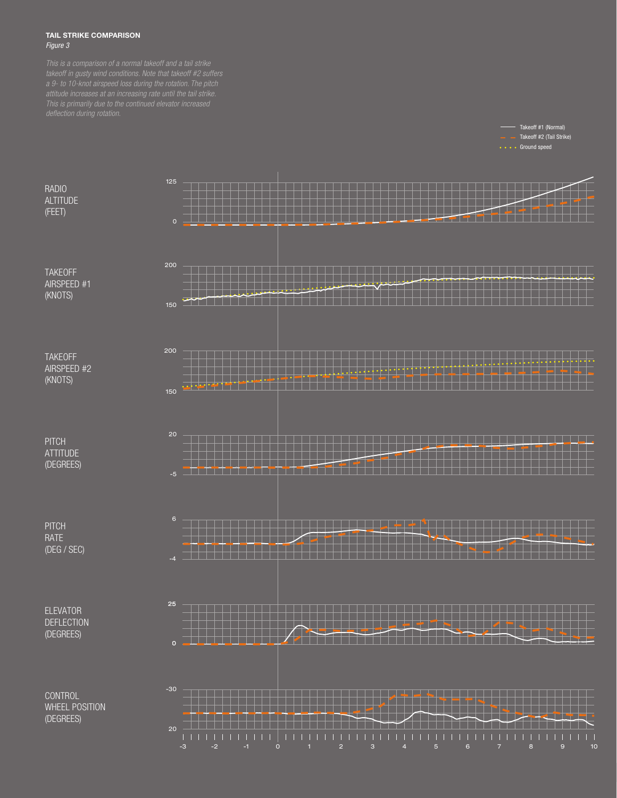#### TAIL STRIKE COMPARISON *Figure 3*

RADIO **ALTITUDE** (FEET)

**TAKEOFF** AIRSPEED #1 (KNOTS)

TAKEOFF AIRSPEED #2 (KNOTS)

**PITCH ATTITUDE** (DEGREES)

PITCH **RATE** (DEG / SEC)

ELEVATOR DEFLECTION (DEGREES)



Takeoff #1 (Normal) Takeoff #2 (Tail Strike)

**CONTROL** WHEEL POSITION (DEGREES)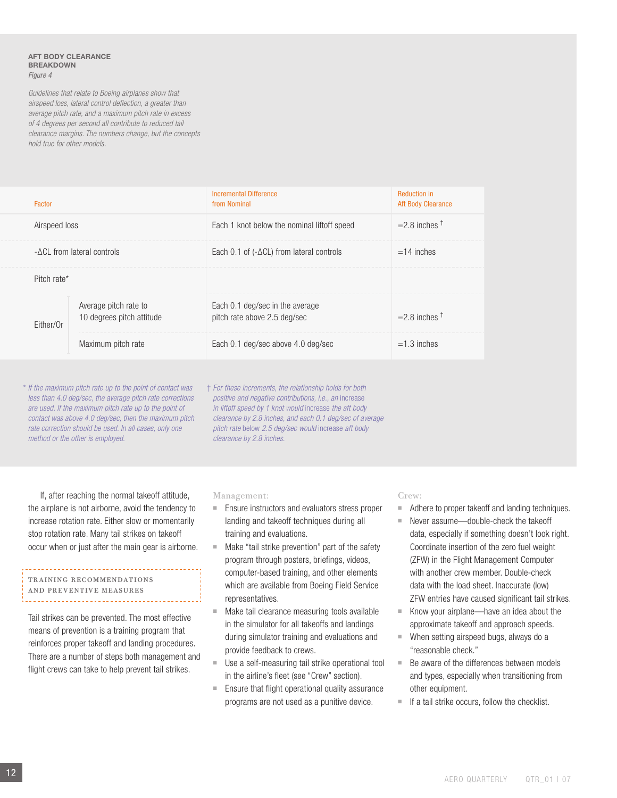#### aft body clearance **BREAKDOWN** *Figure 4*

*Guidelines that relate to Boeing airplanes show that airspeed loss, lateral control deflection, a greater than average pitch rate, and a maximum pitch rate in excess of 4 degrees per second all contribute to reduced tail clearance margins. The numbers change, but the concepts hold true for other models.*

| Factor                      |                                                    | Incremental Difference<br>from Nominal                          | <b>Reduction in</b><br><b>Aft Body Clearance</b> |
|-----------------------------|----------------------------------------------------|-----------------------------------------------------------------|--------------------------------------------------|
| Airspeed loss               |                                                    | Each 1 knot below the nominal liftoff speed                     | $=$ 2.8 inches $\dagger$                         |
| - ACL from lateral controls |                                                    | Each 0.1 of $(-\Delta CL)$ from lateral controls                | $=14$ inches                                     |
| Pitch rate*                 |                                                    |                                                                 |                                                  |
| Fither/Or                   | Average pitch rate to<br>10 degrees pitch attitude | Each 0.1 deg/sec in the average<br>pitch rate above 2.5 deg/sec | $=$ 2.8 inches $^{\dagger}$                      |
|                             | Maximum pitch rate                                 | Each 0.1 deg/sec above 4.0 deg/sec                              | $=1.3$ inches                                    |

\* *If the maximum pitch rate up to the point of contact was less than 4.0 deg/sec, the average pitch rate corrections are used. If the maximum pitch rate up to the point of contact was above 4.0 deg/sec, then the maximum pitch rate correction should be used. In all cases, only one method or the other is employed.*

† *For these increments, the relationship holds for both positive and negative contributions, i.e., an* increase *in liftoff speed by 1 knot would* increase *the aft body clearance by 2.8 inches, and each 0.1 deg/sec of average pitch rate* below *2.5 deg/sec would* increase *aft body clearance by 2.8 inches.*

If, after reaching the normal takeoff attitude, the airplane is not airborne, avoid the tendency to increase rotation rate. Either slow or momentarily stop rotation rate. Many tail strikes on takeoff occur when or just after the main gear is airborne.

#### Training recommendations and preventive measures

Tail strikes can be prevented. The most effective means of prevention is a training program that reinforces proper takeoff and landing procedures. There are a number of steps both management and flight crews can take to help prevent tail strikes.

#### Management:

- Ensure instructors and evaluators stress proper landing and takeoff techniques during all training and evaluations.
- Make "tail strike prevention" part of the safety program through posters, briefings, videos, computer-based training, and other elements which are available from Boeing Field Service representatives.
- Make tail clearance measuring tools available in the simulator for all takeoffs and landings during simulator training and evaluations and provide feedback to crews.
- Use a self-measuring tail strike operational tool in the airline's fleet (see "Crew" section).
- Ensure that flight operational quality assurance programs are not used as a punitive device.

#### Crew:

- Adhere to proper takeoff and landing techniques.
- Never assume-double-check the takeoff data, especially if something doesn't look right. Coordinate insertion of the zero fuel weight (ZFW) in the Flight Management Computer with another crew member. Double-check data with the load sheet. Inaccurate (low) ZFW entries have caused significant tail strikes.
- Know your airplane—have an idea about the approximate takeoff and approach speeds.
- When setting airspeed bugs, always do a "reasonable check."
- Be aware of the differences between models and types, especially when transitioning from other equipment.
- If a tail strike occurs, follow the checklist.